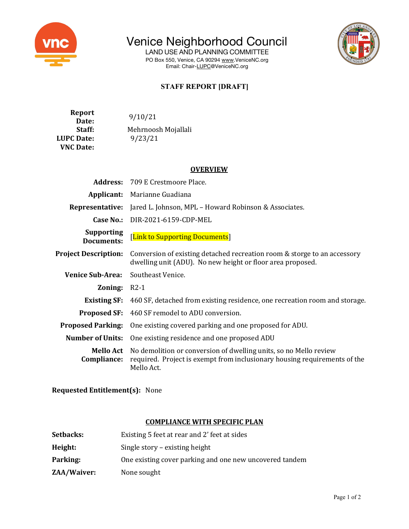

Venice Neighborhood Council

LAND USE AND PLANNING COMMITTEE PO Box 550, Venice, CA 90294 www.VeniceNC.org Email: Chair-LUPC@VeniceNC.org



## **STAFF REPORT [DRAFT]**

**Report Date:**  $9/10/21$ Staff: Mehrnoosh Mojallali **LUPC Date:** 9/23/21 **VNC Date:**

### **OVERVIEW**

|                                        | <b>Address:</b> 709 E Crestmoore Place.                                                                                                                                       |  |  |
|----------------------------------------|-------------------------------------------------------------------------------------------------------------------------------------------------------------------------------|--|--|
| Applicant:                             | Marianne Guadiana                                                                                                                                                             |  |  |
| Representative:                        | Jared L. Johnson, MPL - Howard Robinson & Associates.                                                                                                                         |  |  |
|                                        | <b>Case No.:</b> DIR-2021-6159-CDP-MEL                                                                                                                                        |  |  |
| <b>Supporting</b><br><b>Documents:</b> | [Link to Supporting Documents]                                                                                                                                                |  |  |
| <b>Project Description:</b>            | Conversion of existing detached recreation room & storge to an accessory<br>dwelling unit (ADU). No new height or floor area proposed.                                        |  |  |
| <b>Venice Sub-Area:</b>                | Southeast Venice.                                                                                                                                                             |  |  |
| <b>Zoning:</b> $R2-1$                  |                                                                                                                                                                               |  |  |
| <b>Existing SF:</b>                    | 460 SF, detached from existing residence, one recreation room and storage.                                                                                                    |  |  |
| <b>Proposed SF:</b>                    | 460 SF remodel to ADU conversion.                                                                                                                                             |  |  |
| <b>Proposed Parking:</b>               | One existing covered parking and one proposed for ADU.                                                                                                                        |  |  |
| <b>Number of Units:</b>                | One existing residence and one proposed ADU                                                                                                                                   |  |  |
| Compliance:                            | <b>Mello Act</b> No demolition or conversion of dwelling units, so no Mello review<br>required. Project is exempt from inclusionary housing requirements of the<br>Mello Act. |  |  |

**Requested Entitlement(s):** None

#### **COMPLIANCE WITH SPECIFIC PLAN**

| <b>Setbacks:</b> | Existing 5 feet at rear and 2' feet at sides            |
|------------------|---------------------------------------------------------|
| Height:          | Single story – existing height                          |
| Parking:         | One existing cover parking and one new uncovered tandem |
| ZAA/Waiver:      | None sought                                             |